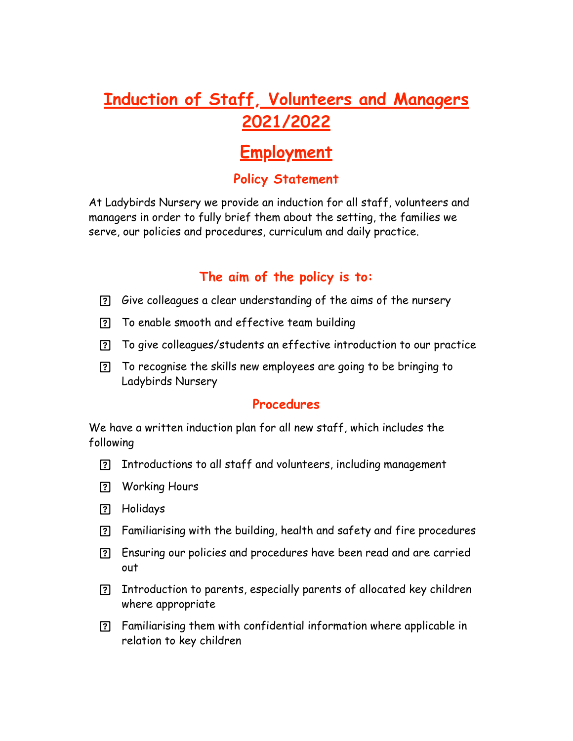## **Induction of Staff, Volunteers and Managers 2021/2022**

# **Employment**

### **Policy Statement**

At Ladybirds Nursery we provide an induction for all staff, volunteers and managers in order to fully brief them about the setting, the families we serve, our policies and procedures, curriculum and daily practice.

### **The aim of the policy is to:**

- Give colleagues a clear understanding of the aims of the nursery
- To enable smooth and effective team building
- To give colleagues/students an effective introduction to our practice
- To recognise the skills new employees are going to be bringing to Ladybirds Nursery

#### **Procedures**

We have a written induction plan for all new staff, which includes the following

- Introductions to all staff and volunteers, including management
- Working Hours
- Holidays
- Familiarising with the building, health and safety and fire procedures
- Ensuring our policies and procedures have been read and are carried out
- Introduction to parents, especially parents of allocated key children where appropriate
- Familiarising them with confidential information where applicable in relation to key children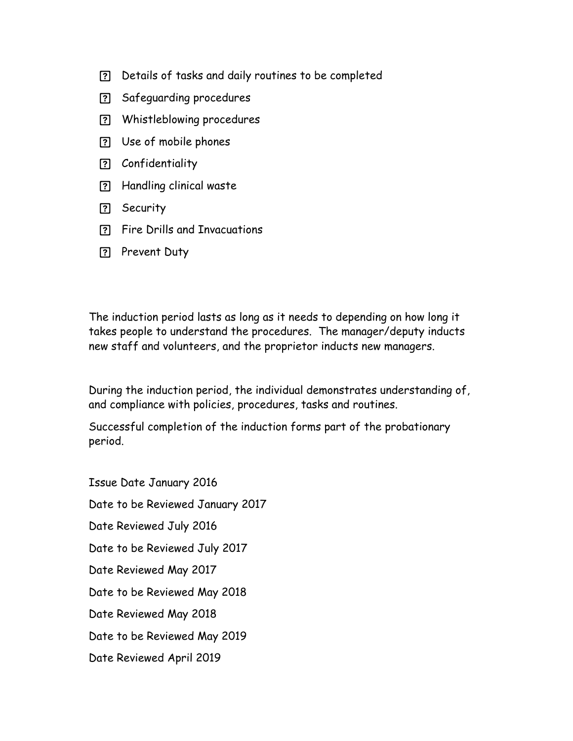- Details of tasks and daily routines to be completed
- Safeguarding procedures
- Whistleblowing procedures
- Use of mobile phones
- Confidentiality
- Handling clinical waste
- **P** Security
- Fire Drills and Invacuations
- **Prevent Duty**

The induction period lasts as long as it needs to depending on how long it takes people to understand the procedures. The manager/deputy inducts new staff and volunteers, and the proprietor inducts new managers.

During the induction period, the individual demonstrates understanding of, and compliance with policies, procedures, tasks and routines.

Successful completion of the induction forms part of the probationary period.

Issue Date January 2016 Date to be Reviewed January 2017 Date Reviewed July 2016 Date to be Reviewed July 2017 Date Reviewed May 2017 Date to be Reviewed May 2018 Date Reviewed May 2018 Date to be Reviewed May 2019 Date Reviewed April 2019